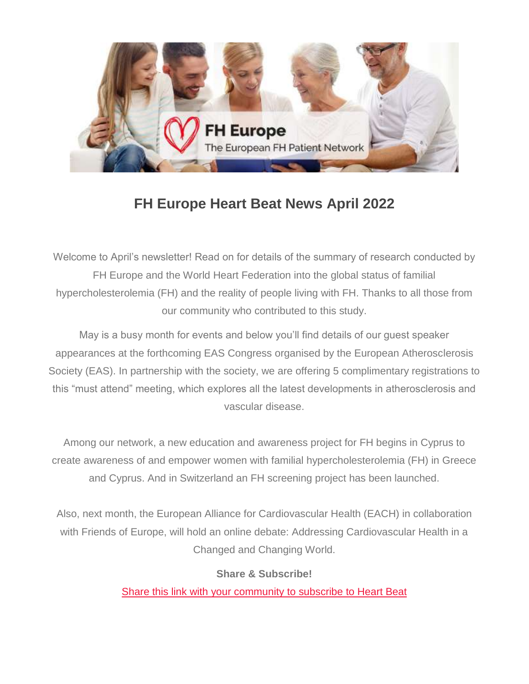

# **FH Europe Heart Beat News April 2022**

Welcome to April's newsletter! Read on for details of the summary of research conducted by FH Europe and the World Heart Federation into the global status of familial hypercholesterolemia (FH) and the reality of people living with FH. Thanks to all those from our community who contributed to this study.

May is a busy month for events and below you'll find details of our guest speaker appearances at the forthcoming EAS Congress organised by the European Atherosclerosis Society (EAS). In partnership with the society, we are offering 5 complimentary registrations to this "must attend" meeting, which explores all the latest developments in atherosclerosis and vascular disease.

Among our network, a new education and awareness project for FH begins in Cyprus to create awareness of and empower women with familial hypercholesterolemia (FH) in Greece and Cyprus. And in Switzerland an FH screening project has been launched.

Also, next month, the European Alliance for Cardiovascular Health (EACH) in collaboration with Friends of Europe, will hold an online debate: Addressing Cardiovascular Health in a Changed and Changing World.

#### **Share & Subscribe!**

[Share this link](https://fheurope.us2.list-manage.com/track/click?u=60930fdc325cffc47c2fb04ad&id=f827251a4f&e=981ab6495d) [with your community](https://fheurope.us2.list-manage.com/track/click?u=60930fdc325cffc47c2fb04ad&id=0074767984&e=981ab6495d) [to subscribe](https://fheurope.us2.list-manage.com/track/click?u=60930fdc325cffc47c2fb04ad&id=aba5a11147&e=981ab6495d) [to Heart Beat](https://fheurope.us2.list-manage.com/track/click?u=60930fdc325cffc47c2fb04ad&id=b12404a35f&e=981ab6495d)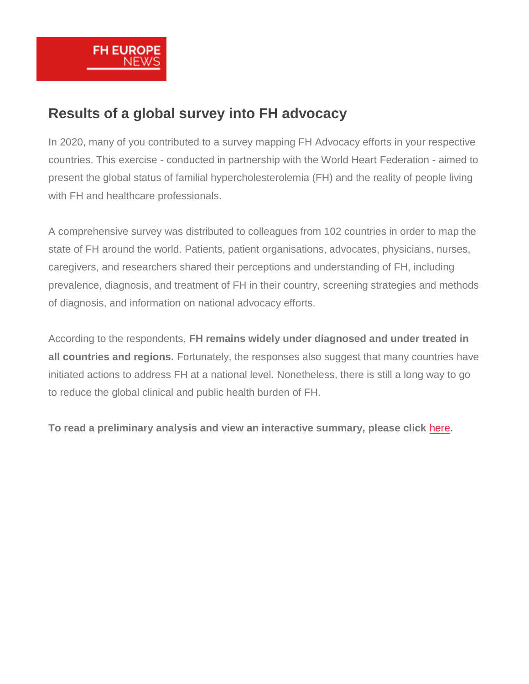

## **Results of a global survey into FH advocacy**

In 2020, many of you contributed to a survey mapping FH Advocacy efforts in your respective countries. This exercise - conducted in partnership with the World Heart Federation - aimed to present the global status of familial hypercholesterolemia (FH) and the reality of people living with FH and healthcare professionals.

A comprehensive survey was distributed to colleagues from 102 countries in order to map the state of FH around the world. Patients, patient organisations, advocates, physicians, nurses, caregivers, and researchers shared their perceptions and understanding of FH, including prevalence, diagnosis, and treatment of FH in their country, screening strategies and methods of diagnosis, and information on national advocacy efforts.

According to the respondents, **FH remains widely under diagnosed and under treated in all countries and regions.** Fortunately, the responses also suggest that many countries have initiated actions to address FH at a national level. Nonetheless, there is still a long way to go to reduce the global clinical and public health burden of FH.

**To read a preliminary analysis and view an interactive summary, please click** [here](https://fheurope.us2.list-manage.com/track/click?u=60930fdc325cffc47c2fb04ad&id=5da1a39ddb&e=981ab6495d)**.**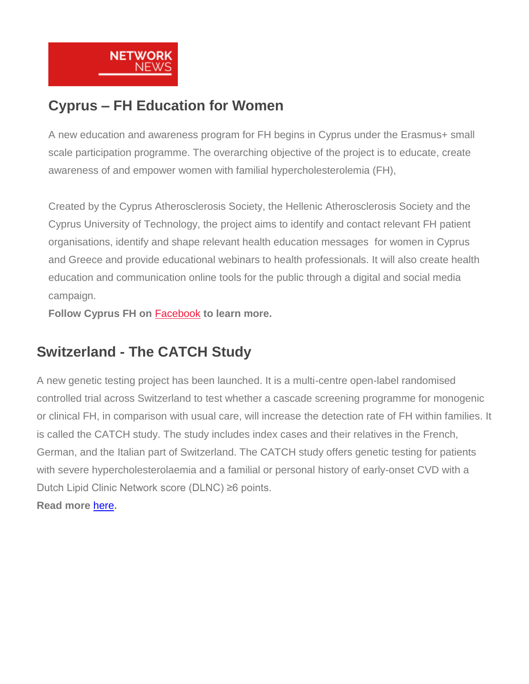

# **Cyprus – FH Education for Women**

A new education and awareness program for FH begins in Cyprus under the Erasmus+ small scale participation programme. The overarching objective of the project is to educate, create awareness of and empower women with familial hypercholesterolemia (FH),

Created by the Cyprus Atherosclerosis Society, the Hellenic Atherosclerosis Society and the Cyprus University of Technology, the project aims to identify and contact relevant FH patient organisations, identify and shape relevant health education messages for women in Cyprus and Greece and provide educational webinars to health professionals. It will also create health education and communication online tools for the public through a digital and social media campaign.

**Follow Cyprus FH on** [Facebook](https://fheurope.us2.list-manage.com/track/click?u=60930fdc325cffc47c2fb04ad&id=1edd2cc756&e=981ab6495d) **to learn more.**

# **Switzerland - The CATCH Study**

A new genetic testing project has been launched. It is a multi-centre open-label randomised controlled trial across Switzerland to test whether a cascade screening programme for monogenic or clinical FH, in comparison with usual care, will increase the detection rate of FH within families. It is called the CATCH study. The study includes index cases and their relatives in the French, German, and the Italian part of Switzerland. The CATCH study offers genetic testing for patients with severe hypercholesterolaemia and a familial or personal history of early-onset CVD with a Dutch Lipid Clinic Network score (DLNC) ≥6 points. **Read more** [here](https://fheurope.us2.list-manage.com/track/click?u=60930fdc325cffc47c2fb04ad&id=8d222033be&e=981ab6495d)**.**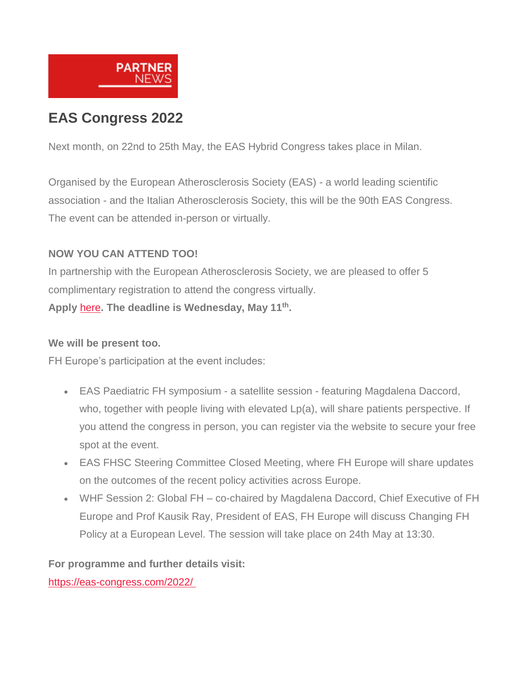

# **EAS Congress 2022**

Next month, on 22nd to 25th May, the EAS Hybrid Congress takes place in Milan.

Organised by the European Atherosclerosis Society (EAS) - a world leading scientific association - and the Italian Atherosclerosis Society, this will be the 90th EAS Congress. The event can be attended in-person or virtually.

#### **NOW YOU CAN ATTEND TOO!**

In partnership with the European Atherosclerosis Society, we are pleased to offer 5 complimentary registration to attend the congress virtually.

**Apply** [here](https://fheurope.us2.list-manage.com/track/click?u=60930fdc325cffc47c2fb04ad&id=7f9beaf1e0&e=981ab6495d)**. The deadline is Wednesday, May 11th .**

#### **We will be present too.**

FH Europe's participation at the event includes:

- EAS Paediatric FH symposium a satellite session featuring Magdalena Daccord, who, together with people living with elevated Lp(a), will share patients perspective. If you attend the congress in person, you can register via the website to secure your free spot at the event.
- EAS FHSC Steering Committee Closed Meeting, where FH Europe will share updates on the outcomes of the recent policy activities across Europe.
- WHF Session 2: Global FH co-chaired by Magdalena Daccord, Chief Executive of FH Europe and Prof Kausik Ray, President of EAS, FH Europe will discuss Changing FH Policy at a European Level. The session will take place on 24th May at 13:30.

#### **For programme and further details visit:**

[https://eas-congress.com/2022/](https://fheurope.us2.list-manage.com/track/click?u=60930fdc325cffc47c2fb04ad&id=79321b8424&e=981ab6495d)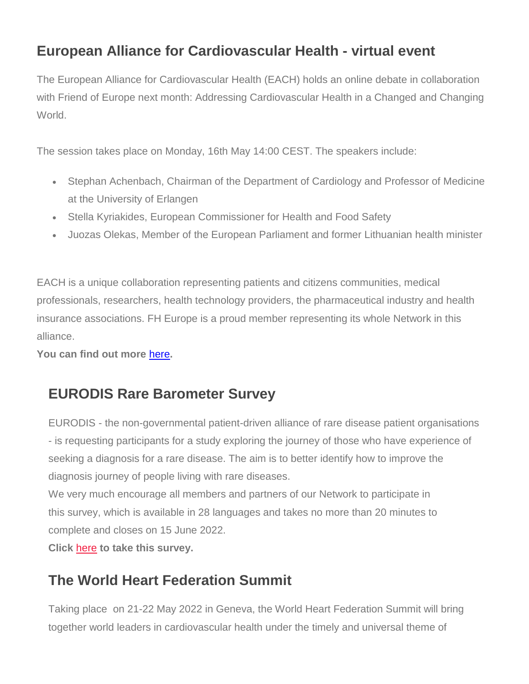# **European Alliance for Cardiovascular Health - virtual event**

The European Alliance for Cardiovascular Health (EACH) holds an online debate in collaboration with Friend of Europe next month: Addressing Cardiovascular Health in a Changed and Changing World.

The session takes place on Monday, 16th May 14:00 CEST. The speakers include:

- Stephan Achenbach, Chairman of the Department of Cardiology and Professor of Medicine at the University of Erlangen
- Stella Kyriakides, European Commissioner for Health and Food Safety
- Juozas Olekas, Member of the European Parliament and former Lithuanian health minister

EACH is a unique collaboration representing patients and citizens communities, medical professionals, researchers, health technology providers, the pharmaceutical industry and health insurance associations. FH Europe is a proud member representing its whole Network in this alliance.

**You can find out more** [here](https://fheurope.us2.list-manage.com/track/click?u=60930fdc325cffc47c2fb04ad&id=2cd1b1ad68&e=981ab6495d)**.**

### **EURODIS Rare Barometer Survey**

EURODIS - the non-governmental patient-driven alliance of rare disease patient organisations - is requesting participants for a study exploring the journey of those who have experience of seeking a diagnosis for a rare disease. The aim is to better identify how to improve the diagnosis journey of people living with rare diseases.

We very much encourage all members and partners of our Network to participate in this survey, which is available in 28 languages and takes no more than 20 minutes to complete and closes on 15 June 2022.

**Click** [here](https://fheurope.us2.list-manage.com/track/click?u=60930fdc325cffc47c2fb04ad&id=569e335ebf&e=981ab6495d) **to take this survey.**

# **The World Heart Federation Summit**

Taking place on 21-22 May 2022 in Geneva, the World Heart Federation Summit will bring together world leaders in cardiovascular health under the timely and universal theme of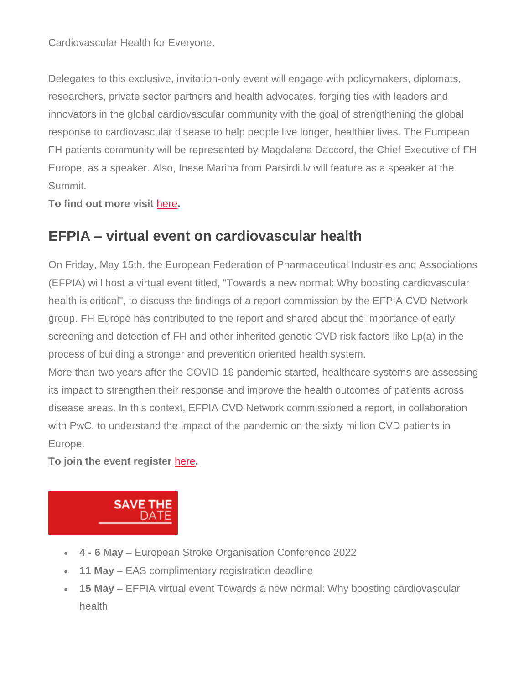Cardiovascular Health for Everyone.

Delegates to this exclusive, invitation-only event will engage with policymakers, diplomats, researchers, private sector partners and health advocates, forging ties with leaders and innovators in the global cardiovascular community with the goal of strengthening the global response to cardiovascular disease to help people live longer, healthier lives. The European FH patients community will be represented by Magdalena Daccord, the Chief Executive of FH Europe, as a speaker. Also, Inese Marina from Parsirdi.lv will feature as a speaker at the Summit.

**To find out more visit** [here](https://fheurope.us2.list-manage.com/track/click?u=60930fdc325cffc47c2fb04ad&id=dbe34ccb57&e=981ab6495d)**.**

# **EFPIA – virtual event on cardiovascular health**

On Friday, May 15th, the European Federation of Pharmaceutical Industries and Associations (EFPIA) will host a virtual event titled, "Towards a new normal: Why boosting cardiovascular health is critical", to discuss the findings of a report commission by the EFPIA CVD Network group. FH Europe has contributed to the report and shared about the importance of early screening and detection of FH and other inherited genetic CVD risk factors like Lp(a) in the process of building a stronger and prevention oriented health system.

More than two years after the COVID-19 pandemic started, healthcare systems are assessing its impact to strengthen their response and improve the health outcomes of patients across disease areas. In this context, EFPIA CVD Network commissioned a report, in collaboration with PwC, to understand the impact of the pandemic on the sixty million CVD patients in Europe.

**To join the event register** [here](https://fheurope.us2.list-manage.com/track/click?u=60930fdc325cffc47c2fb04ad&id=d8d49b6780&e=981ab6495d)**.**



- **4 - 6 May** European Stroke Organisation Conference 2022
- **11 May** EAS complimentary registration deadline
- **15 May** EFPIA virtual event Towards a new normal: Why boosting cardiovascular health